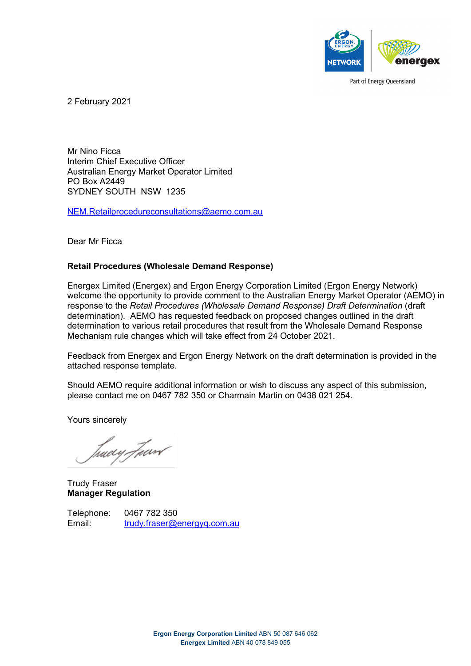

Part of Energy Queensland

2 February 2021

Mr Nino Ficca Interim Chief Executive Officer Australian Energy Market Operator Limited PO Box A2449 SYDNEY SOUTH NSW 1235

[NEM.Retailprocedureconsultations@aemo.com.au](mailto:NEM.Retailprocedureconsultations@aemo.com.au)

Dear Mr Ficca

#### **Retail Procedures (Wholesale Demand Response)**

Energex Limited (Energex) and Ergon Energy Corporation Limited (Ergon Energy Network) welcome the opportunity to provide comment to the Australian Energy Market Operator (AEMO) in response to the *Retail Procedures (Wholesale Demand Response) Draft Determination* (draft determination). AEMO has requested feedback on proposed changes outlined in the draft determination to various retail procedures that result from the Wholesale Demand Response Mechanism rule changes which will take effect from 24 October 2021.

Feedback from Energex and Ergon Energy Network on the draft determination is provided in the attached response template.

Should AEMO require additional information or wish to discuss any aspect of this submission, please contact me on 0467 782 350 or Charmain Martin on 0438 021 254.

Yours sincerely

tuwy *Fu*ar*l* 

Trudy Fraser **Manager Regulation**

Telephone: 0467 782 350 Email: [trudy.fraser@energyq.com.au](mailto:trudy.fraser@energyq.com.au)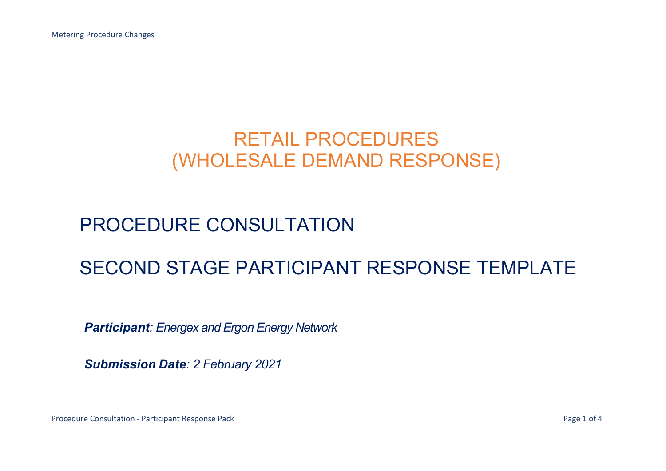# RETAIL PROCEDURES (WHOLESALE DEMAND RESPONSE)

# PROCEDURE CONSULTATION

# SECOND STAGE PARTICIPANT RESPONSE TEMPLATE

*Participant: Energex and Ergon Energy Network* 

*Submission Date: 2 February 2021*

Procedure Consultation - Participant Response Pack **Page 1 of 4** and 2001 and 2008 Page 1 of 4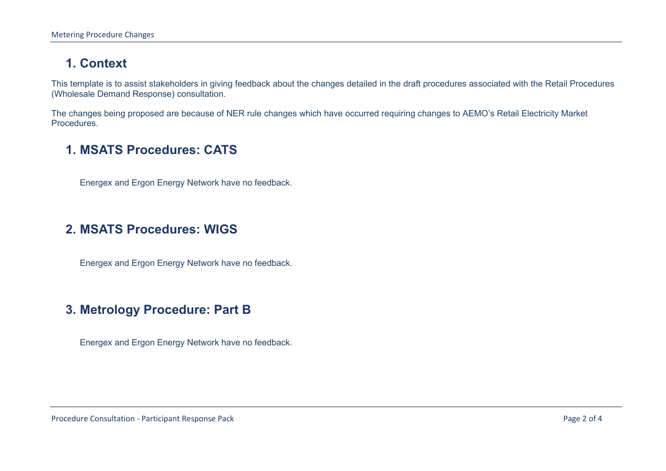## **1. Context**

This template is to assist stakeholders in giving feedback about the changes detailed in the draft procedures associated with the Retail Procedures (Wholesale Demand Response) consultation.

The changes being proposed are because of NER rule changes which have occurred requiring changes to AEMO's Retail Electricity Market Procedures.

#### **1. MSATS Procedures: CATS**

Energex and Ergon Energy Network have no feedback.

#### **2. MSATS Procedures: WIGS**

Energex and Ergon Energy Network have no feedback.

### **3. Metrology Procedure: Part B**

Energex and Ergon Energy Network have no feedback.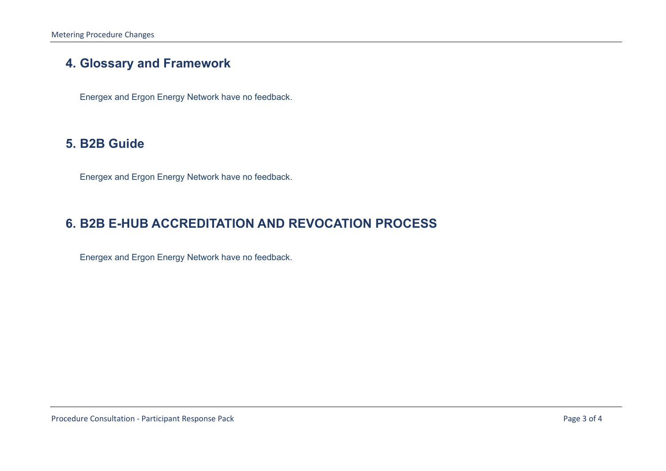### **4. Glossary and Framework**

Energex and Ergon Energy Network have no feedback.

#### **5. B2B Guide**

Energex and Ergon Energy Network have no feedback.

### **6. B2B E-HUB ACCREDITATION AND REVOCATION PROCESS**

Energex and Ergon Energy Network have no feedback.